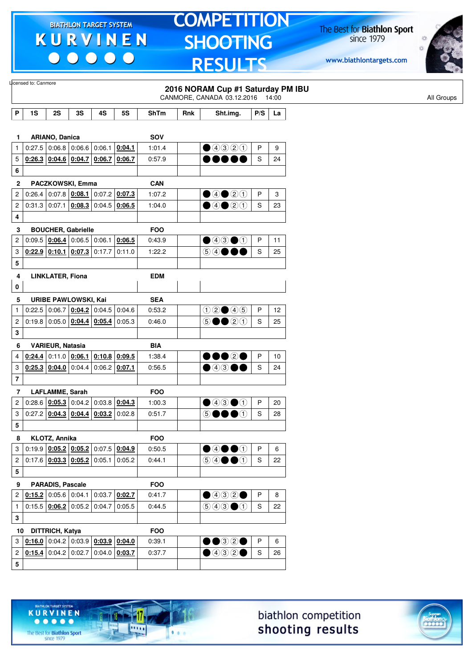$\begin{array}{c|c|c|c|c} \hline \bullet & \bullet & \bullet & \bullet & \bullet \end{array}$ 

# **TOMPETITION SHOOTING RESULTS**

The Best for **Biathlon Sport**<br>since 1979

www.biathlontargets.com



|                         | Licensed to: Canmore |                                   |                 |                                              |                                                 |            |     | 2016 NORAM Cup #1 Saturday PM IBU<br>CANMORE, CANADA 03.12.2016 14:00 |     |    | All Groups |
|-------------------------|----------------------|-----------------------------------|-----------------|----------------------------------------------|-------------------------------------------------|------------|-----|-----------------------------------------------------------------------|-----|----|------------|
| P                       | 1S                   | 2S                                | 3S              | 4S                                           | <b>5S</b>                                       | ShTm       | Rnk | Sht.img.                                                              | P/S | La |            |
|                         |                      |                                   |                 |                                              |                                                 |            |     |                                                                       |     |    |            |
| 1                       |                      | <b>ARIANO, Danica</b>             |                 |                                              |                                                 | SOV        |     |                                                                       |     |    |            |
| $\mathbf{1}$            |                      | $0.27.5$ 0.06.8 0.06.6 0.06.1     |                 |                                              | 0:04.1                                          | 1:01.4     |     | $\bigcirc$ 4320                                                       | P   | 9  |            |
| 5                       |                      |                                   |                 |                                              | $0.26.3$ 0.04.6 0.04.7 0.06.7 0.06.7            | 0:57.9     |     | .                                                                     | S   | 24 |            |
| 6                       |                      |                                   |                 |                                              |                                                 |            |     |                                                                       |     |    |            |
| $\mathbf{2}$            |                      | PACZKOWSKI, Emma                  |                 |                                              |                                                 | <b>CAN</b> |     |                                                                       |     |    |            |
| 2                       | 0:26.4               |                                   | $0:07.8$ 0:08.1 |                                              | $0:07.2$ 0:07.3                                 | 1:07.2     |     | $\bullet$ 4 $\bullet$ 2 $\textcircled{\scriptsize{1}}$                | P   | 3  |            |
| 2                       |                      |                                   |                 | $0:31.3$ 0:07.1 0:08.3 0:04.5 0:06.5         |                                                 | 1:04.0     |     | $\bullet$ 4 $\bullet$ 2 $\textcircled{\scriptsize{1}}$                | S   | 23 |            |
| 4                       |                      |                                   |                 |                                              |                                                 |            |     |                                                                       |     |    |            |
| 3                       |                      | <b>BOUCHER, Gabrielle</b>         |                 |                                              |                                                 | <b>FOO</b> |     |                                                                       |     |    |            |
| $\boldsymbol{2}$        |                      | 0.09.5   0.06.4                   |                 | $0:06.5$ 0:06.1                              | 0:06.5                                          | 0:43.9     |     | $\bigcirc$ 43 $\bigcirc$ 1                                            | P   | 11 |            |
| 3                       |                      | $0.22.9$ 0.10.1 0.07.3 0.17.7     |                 |                                              | 0:11.0                                          | 1:22.2     |     | 54●●●                                                                 | S   | 25 |            |
| 5                       |                      |                                   |                 |                                              |                                                 |            |     |                                                                       |     |    |            |
| 4                       |                      | <b>LINKLATER, Fiona</b>           |                 |                                              |                                                 | <b>EDM</b> |     |                                                                       |     |    |            |
| 0                       |                      |                                   |                 |                                              |                                                 |            |     |                                                                       |     |    |            |
| 5                       |                      | <b>URIBE PAWLOWSKI, Kai</b>       |                 |                                              |                                                 | <b>SEA</b> |     |                                                                       |     |    |            |
| $\mathbf{1}$            |                      |                                   |                 | $0:22.5$ 0:06.7 0:04.2 0:04.5 0:04.6         |                                                 | 0:53.2     |     | $02 \bullet 45$                                                       | P   | 12 |            |
| $\overline{c}$          |                      |                                   |                 | $0.19.8$ 0.05.0 $0.04.4$ 0.05.4              | 0:05.3                                          | 0:46.0     |     | $\circledcirc \bullet \bullet \circledcirc \circledcirc$              | S   | 25 |            |
| 3                       |                      |                                   |                 |                                              |                                                 |            |     |                                                                       |     |    |            |
| 6                       |                      | <b>VARIEUR, Natasia</b>           |                 |                                              |                                                 | <b>BIA</b> |     |                                                                       |     |    |            |
| 4                       |                      | $0.24.4$ 0:11.0                   |                 |                                              | $0.06.1$ $0.10.8$ $0.09.5$                      | 1:38.4     |     | $\bullet\bullet\circ\bullet$                                          | P   | 10 |            |
| 3                       |                      | $0.25.3$ 0.04.0                   |                 | $0.04.4$ 0.06.2 0.07.1                       |                                                 | 0:56.5     |     | ●④3●●                                                                 | S   | 24 |            |
| $\overline{\mathbf{7}}$ |                      |                                   |                 |                                              |                                                 |            |     |                                                                       |     |    |            |
| 7                       |                      | LAFLAMME, Sarah                   |                 |                                              |                                                 | <b>FOO</b> |     |                                                                       |     |    |            |
| $\overline{\mathbf{c}}$ |                      | 0:28.6   0:05.3                   |                 |                                              | $0:04.2$ 0:03.8 0:04.3                          | 1:00.3     |     | $\bigcirc$ 4300                                                       | P   | 20 |            |
| 3                       |                      |                                   |                 | $0.27.2$   0.04.3   0.04.4   0.03.2   0.02.8 |                                                 | 0:51.7     |     | 6●●<br>$\Omega$                                                       | S   | 28 |            |
| 5                       |                      |                                   |                 |                                              |                                                 |            |     |                                                                       |     |    |            |
| 8                       |                      | KLOTZ, Annika                     |                 |                                              |                                                 | <b>FOO</b> |     |                                                                       |     |    |            |
| 3                       |                      |                                   |                 |                                              | $0:19.9$ $0:05.2$ $0:05.2$ 0:05.2 0:07.5 0:04.9 | 0:50.5     |     | $\bullet$ 40 $\bullet$ 0                                              | P   | 6  |            |
| $\overline{c}$          |                      | $0.17.6$ $0.03.3$ $0.05.2$ 0.05.1 |                 |                                              | 0:05.2                                          | 0:44.1     |     | $\circledcircledast \bullet \bullet \bullet$                          | S   | 22 |            |
| 5                       |                      |                                   |                 |                                              |                                                 |            |     |                                                                       |     |    |            |
| 9                       |                      | PARADIS, Pascale                  |                 |                                              |                                                 | <b>FOO</b> |     |                                                                       |     |    |            |
| 2                       |                      |                                   |                 | $0.15.2$ 0.05.6 0.04.1 0.03.7                | 0:02.7                                          | 0:41.7     |     | $\bigcirc$ 4320                                                       | P   | 8  |            |
| $\mathbf{1}$            |                      |                                   |                 | 0.15.5   0.06.2   0.05.2   0.04.7            | 0:05.5                                          | 0:44.5     |     | $\bigcirc$ 4 $\bigcirc$ $\bigcirc$ $\bigcirc$                         | S   | 22 |            |
| 3                       |                      |                                   |                 |                                              |                                                 |            |     |                                                                       |     |    |            |
|                         | 10 DITTRICH, Katya   |                                   |                 |                                              |                                                 | <b>FOO</b> |     |                                                                       |     |    |            |
| 3                       | 0:16.0               |                                   |                 | 0.04.2   0.03.9   0.03.9   0.04.0            |                                                 | 0:39.1     |     | $\bullet$ 32 $\bullet$                                                | P   | 6  |            |
| $\overline{c}$          |                      |                                   |                 |                                              | $0.15.4$ 0.04.2 0.02.7 0.04.0 0.03.7            | 0:37.7     |     | $\bullet$ 4320                                                        | S   | 26 |            |
|                         |                      |                                   |                 |                                              |                                                 |            |     |                                                                       |     |    |            |





The Best for **Biathlon Sport**<br>since 1979

TARGET SYSTEM

17

11111

 $1.1.1$ 

**KURVINEN** 

 $• • • • •$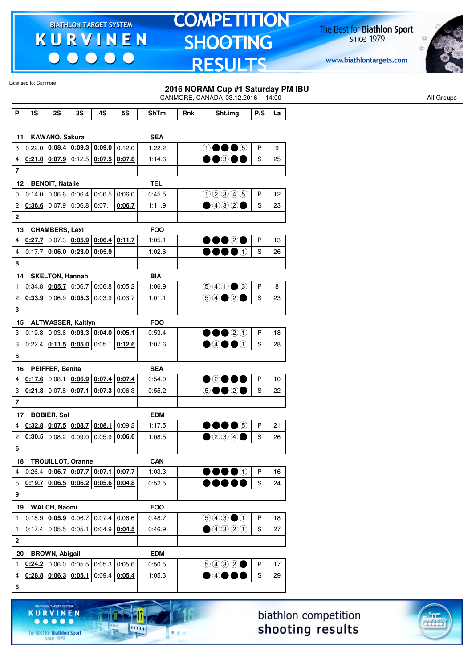$\begin{array}{c|c|c|c|c} \hline \bullet & \bullet & \bullet & \bullet & \bullet \end{array}$ 

# **TOMPETITION SHOOTING RESULTS**

The Best for **Biathlon Sport**<br>since 1979

www.biathlontargets.com



|                         | Licensed to: Canmore  |                        |                                                       |                 |                 |            |     |                                                                                            |              |       |
|-------------------------|-----------------------|------------------------|-------------------------------------------------------|-----------------|-----------------|------------|-----|--------------------------------------------------------------------------------------------|--------------|-------|
|                         |                       |                        |                                                       |                 |                 |            |     | 2016 NORAM Cup #1 Saturday PM IBU<br>CANMORE, CANADA 03.12.2016                            |              | 14:00 |
| P                       | 1S                    | 2S                     | 3S                                                    | 4S              | 5S              | ShTm       | Rnk | Sht.img.                                                                                   | P/S          | La    |
|                         |                       |                        |                                                       |                 |                 |            |     |                                                                                            |              |       |
| 11                      |                       | KAWANO, Sakura         |                                                       |                 |                 | <b>SEA</b> |     |                                                                                            |              |       |
| 3                       | 0:22.0                |                        | $\vert 0.08.4 \vert 0.09.3 \vert 0.09.0 \vert$        |                 | 0:12.0          | 1:22.2     |     | $\mathbf{\mathbf{\textcircled{\text{}}}} \bullet \mathbf{\bullet} \mathbf{\mathbf{\circ}}$ | P            | 9     |
| 4                       |                       |                        | $0:21.0$ 0:07.9 0:12.5                                | $0.07.5$ 0.07.8 |                 | 1:14.6     |     | $\bullet\bullet$ 300                                                                       | S            | 25    |
| $\overline{\mathbf{7}}$ |                       |                        |                                                       |                 |                 |            |     |                                                                                            |              |       |
| 12                      |                       | <b>BENOIT, Natalie</b> |                                                       |                 |                 | <b>TEL</b> |     |                                                                                            |              |       |
| 0                       |                       |                        | $0.14.0$ 0.06.6 0.06.4                                | 0:06.5          | 0:06.0          | 0:45.5     |     | 000005                                                                                     | P            | 12    |
| $\overline{c}$          |                       |                        | $0.36.6$ 0.07.9 0.06.8 0.07.1 0.06.7                  |                 |                 | 1:11.9     |     | $\bigcirc$ 4020                                                                            | S            | 23    |
| $\mathbf 2$             |                       |                        |                                                       |                 |                 |            |     |                                                                                            |              |       |
|                         | 13                    | <b>CHAMBERS, Lexi</b>  |                                                       |                 |                 | <b>FOO</b> |     |                                                                                            |              |       |
| 4                       | 0:27.7                |                        | $\vert 0.07.3 \vert 0.05.9 \vert 0.06.4 \vert 0.11.7$ |                 |                 | 1:05.1     |     | 00020                                                                                      | P            | 13    |
| 4                       | 0:17.7                |                        | $0.06.0$ 0.23.0 0.05.9                                |                 |                 | 1:02.6     |     | $\bullet\bullet\bullet\circ$                                                               | S            | 26    |
| 8                       |                       |                        |                                                       |                 |                 |            |     |                                                                                            |              |       |
|                         | 14                    | <b>SKELTON, Hannah</b> |                                                       |                 |                 | <b>BIA</b> |     |                                                                                            |              |       |
| $\mathbf{1}$            |                       |                        | 0.34.8   0.05.7   0.06.7                              | $0:06.8$ 0:05.2 |                 | 1:06.9     |     | $\bigcirc \bigcirc \bigcirc \bigcirc \bigcirc \bigcirc \bigcirc$                           | P            | 8     |
| 2                       |                       |                        | 0.33.9 0.06.9 0.05.3                                  | $0:03.9$ 0:03.7 |                 | 1:01.1     |     |                                                                                            | S            | 23    |
| 3                       |                       |                        |                                                       |                 |                 |            |     |                                                                                            |              |       |
|                         | 15 ALTWASSER, Kaitlyn |                        |                                                       |                 |                 | <b>FOO</b> |     |                                                                                            |              |       |
| 3                       | 0:19.8                |                        | 0.03.6   0.03.3   0.04.0                              |                 | 0:05.1          | 0:53.4     |     | $\bullet\bullet\circ\circ$                                                                 | P            | 18    |
| 3                       |                       |                        | $0:22.4$   0:11.5   0:05.0                            | 0.05.1   0.12.6 |                 | 1:07.6     |     | $\bullet$ 4 $\bullet$ 0                                                                    | S            | 28    |
| 6                       |                       |                        |                                                       |                 |                 |            |     |                                                                                            |              |       |
| 16                      |                       | PEIFFER, Benita        |                                                       |                 |                 | <b>SEA</b> |     |                                                                                            |              |       |
| 4                       |                       |                        | $0.17.6$ 0:08.1 0:06.9                                | $0.07.4$ 0.07.4 |                 | 0:54.0     |     | ●2●●●                                                                                      | P            | 10    |
| 3                       |                       |                        | $0.21.3$ 0.07.8 0.07.1                                | 0:07.3 0:06.3   |                 | 0:55.2     |     | 5●●2●                                                                                      | S            | 22    |
| $\overline{\mathbf{r}}$ |                       |                        |                                                       |                 |                 |            |     |                                                                                            |              |       |
|                         | 17 BOBIER, Sol        |                        |                                                       |                 |                 | <b>EDM</b> |     |                                                                                            |              |       |
| 4                       |                       |                        | $0.32.8$ 0.07.5 0.08.7 0.08.1 0.09.2                  |                 |                 | 1:17.5     |     | $\bullet\bullet\bullet$                                                                    | P            | 21    |
| $\overline{c}$          |                       |                        | $0.30.5$ 0.08.2 0.09.0 0.05.9 0.06.6                  |                 |                 | 1:08.5     |     | $\bullet$ 200                                                                              | S            | 26    |
| 6                       |                       |                        |                                                       |                 |                 |            |     |                                                                                            |              |       |
|                         | 18                    |                        | <b>TROUILLOT, Oranne</b>                              |                 |                 | <b>CAN</b> |     |                                                                                            |              |       |
| 4                       | 0:26.4                |                        | $0.06.7$ 0.07.7 0.07.1 0.07.7                         |                 |                 | 1:03.3     |     | $\bullet\bullet\bullet\circ$                                                               | P            | 16    |
| 5                       |                       |                        | $0.19.7$ $0.06.5$ $0.06.2$ $0.05.6$ $0.04.8$          |                 |                 | 0:52.5     |     |                                                                                            | S            | 24    |
| 9                       |                       |                        |                                                       |                 |                 |            |     |                                                                                            |              |       |
|                         | 19                    | WALCH, Naomi           |                                                       |                 |                 | <b>FOO</b> |     |                                                                                            |              |       |
| $\mathbf{1}$            |                       |                        | $0:18.9$ 0:05.9 0:06.7                                | $0.07.4$ 0.06.6 |                 | 0:48.7     |     | $\textcircled{\scriptsize{9}}\textcircled{\scriptsize{9}}\textcircled{\scriptsize{1}}$     | P            | 18    |
| $\mathbf{1}$            |                       | $0:17.4$ 0:05.5 0:05.1 |                                                       |                 | $0:04.9$ 0:04.5 | 0:46.9     |     | ④④③①                                                                                       | S            | 27    |
| 2                       |                       |                        |                                                       |                 |                 |            |     |                                                                                            |              |       |
|                         | 20                    | <b>BROWN, Abigail</b>  |                                                       |                 |                 | <b>EDM</b> |     |                                                                                            |              |       |
| 1                       |                       |                        | $0.24.2$ 0.06.0 0.05.5 0.05.3 0.05.6                  |                 |                 | 0:50.5     |     | (50000)                                                                                    | $\mathsf{P}$ | 17    |
| 4                       |                       |                        | $0.28.8$ 0.06.3 0.05.1                                |                 | $0:09.4$ 0:05.4 | 1:05.3     |     | $\bullet$ 4000                                                                             | S            | 29    |
| 5                       |                       |                        |                                                       |                 |                 |            |     |                                                                                            |              |       |
|                         |                       |                        |                                                       |                 |                 |            |     |                                                                                            |              |       |





**GET SYSTE** 

17

**DOM:** 

 $1.1.1$ 

**KURVINEN**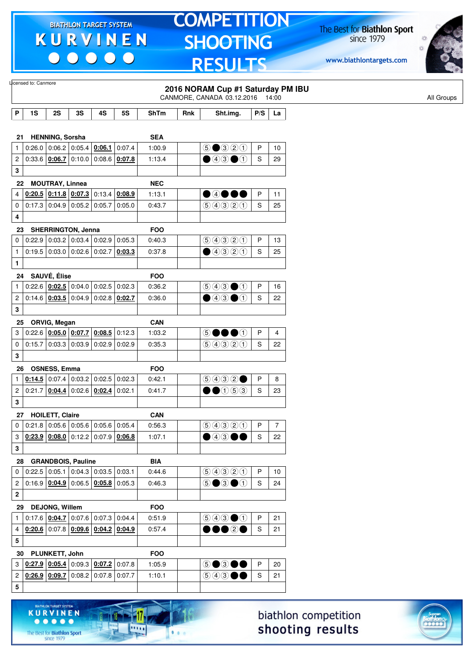$\begin{array}{c} \bullet\bullet\bullet\bullet\bullet\bullet \end{array}$ 

KURVINEN

 $\begin{array}{ccccccccccccccccc} \bullet & \bullet & \bullet & \bullet & \bullet & \bullet & \bullet \end{array}$ 

The Best for **Biathlon Sport**<br>since 1979

17.

 $\overline{\cdots}$ 

 $1.1.1$ 

## **TOMPETITION** SHOOTING **RESULTS**

The Best for **Biathlon Sport**<br>since 1979



|                         | Licensed to: Canmore |                        |                                              |                 |           |             |     | 2016 NORAM Cup #1 Saturday PM IBU                                                      |              |            |
|-------------------------|----------------------|------------------------|----------------------------------------------|-----------------|-----------|-------------|-----|----------------------------------------------------------------------------------------|--------------|------------|
|                         |                      |                        |                                              |                 |           |             |     | CANMORE, CANADA 03.12.2016 14:00                                                       |              |            |
| P                       | 1S                   | 2S                     | 3S                                           | 4S              | <b>5S</b> | <b>ShTm</b> | Rnk | Sht.img.                                                                               | P/S          | La         |
|                         |                      |                        |                                              |                 |           |             |     |                                                                                        |              |            |
| 21                      |                      | <b>HENNING, Sorsha</b> |                                              |                 |           | <b>SEA</b>  |     |                                                                                        |              |            |
| $\mathbf{1}$            |                      |                        | $0:26.0$ 0:06.2 0:05.4 0:06.1                |                 | 0:07.4    | 1:00.9      |     | $\bigcirc$ $\bigcirc$ $\bigcirc$ $\bigcirc$ $\bigcirc$                                 | P            | 10         |
| 2                       |                      |                        | $0.33.6$ $0.06.7$ 0.10.0 0.08.6              |                 | 0:07.8    | 1:13.4      |     | $\bigcirc$ 43 $\bigcirc$ 1                                                             | $\mathbf S$  | 29         |
| 3                       |                      |                        |                                              |                 |           |             |     |                                                                                        |              |            |
| 22                      |                      | <b>MOUTRAY, Linnea</b> |                                              |                 |           | <b>NEC</b>  |     |                                                                                        |              |            |
| 4                       |                      |                        | $0.20.5$ $0.11.8$ $0.07.3$ 0.13.4            |                 | 0:08.9    | 1:13.1      |     | $\bullet$ 4000                                                                         | $\mathsf{P}$ | 11         |
| 0                       |                      |                        | $0.17.3$ 0.04.9 0.05.2 0.05.7                |                 | 0:05.0    | 0:43.7      |     | 99900                                                                                  | S            | 25         |
| 4                       |                      |                        |                                              |                 |           |             |     |                                                                                        |              |            |
| 23                      |                      |                        | <b>SHERRINGTON, Jenna</b>                    |                 |           | <b>FOO</b>  |     |                                                                                        |              |            |
| 0                       |                      |                        | $0.22.9$ 0.03.2 0.03.4 0.02.9                |                 | 0:05.3    | 0:40.3      |     | 9990                                                                                   | P            | 13         |
| $\mathbf{1}$            |                      |                        | $0.19.5$ 0.03.0 0.02.6 0.02.7                |                 | 0:03.3    | 0:37.8      |     | ④④②①                                                                                   | $\mathbf S$  | 25         |
| 1                       |                      |                        |                                              |                 |           |             |     |                                                                                        |              |            |
|                         | 24 SAUVÉ, Élise      |                        |                                              |                 |           | <b>FOO</b>  |     |                                                                                        |              |            |
| $\mathbf{1}$            |                      |                        | $0:22.6$ $0:02.5$ 0:04.0 0:02.5 0:02.3       |                 |           | 0:36.2      |     | $\textcircled{\scriptsize{9}}\textcircled{\scriptsize{9}}\textcircled{\scriptsize{1}}$ | P            | 16         |
| $\mathbf 2$             |                      |                        | $0:14.6$ $0:03.5$ $0:04.9$ $0:02.8$ $0:02.7$ |                 |           | 0:36.0      |     | $\bullet$ 43 $\bullet$ 1                                                               | S            | 22         |
| 3                       |                      |                        |                                              |                 |           |             |     |                                                                                        |              |            |
| 25                      |                      | ORVIG, Megan           |                                              |                 |           | <b>CAN</b>  |     |                                                                                        |              |            |
| 3                       |                      |                        | $0:22.6$ $0:05.0$ $0:07.7$ $0:08.5$          |                 | 0:12.3    | 1:03.2      |     | 50000                                                                                  | $\sf P$      | 4          |
| 0                       |                      |                        | $0.15.7 \mid 0.03.3 \mid 0.03.9 \mid 0.02.9$ |                 | 0:02.9    | 0:35.3      |     | 9990                                                                                   | S            | 22         |
| 3                       |                      |                        |                                              |                 |           |             |     |                                                                                        |              |            |
| 26                      |                      | <b>OSNESS, Emma</b>    |                                              |                 |           | <b>FOO</b>  |     |                                                                                        |              |            |
| 1                       |                      | $0.14.5$ 0.07.4        |                                              | $0:03.2$ 0:02.5 | 0:02.3    | 0:42.1      |     | 9992                                                                                   | P            | 8          |
| 2                       |                      | 0.21.7   0.04.4        | $0:02.6$ 0:02.4                              |                 | 0:02.1    | 0:41.7      |     | $\bullet$ ①⑤③                                                                          | S            | 23         |
| 3                       |                      |                        |                                              |                 |           |             |     |                                                                                        |              |            |
|                         | 27 HOILETT, Claire   |                        |                                              |                 |           | <b>CAN</b>  |     |                                                                                        |              |            |
| $\overline{0}$          |                      |                        | $0.21.8$ 0.05.6 0.05.6 0.05.6 0.05.4         |                 |           | 0:56.3      |     | 60000                                                                                  | P            | $\sqrt{7}$ |
| 3                       |                      |                        | $0.23.9$ $0.08.0$ 0:12.2 0:07.9 0:06.8       |                 |           | 1:07.1      |     | $\textcolor{red}{\bullet}$ 4300                                                        | S            | 22         |
| 3                       |                      |                        |                                              |                 |           |             |     |                                                                                        |              |            |
| 28                      |                      |                        | <b>GRANDBOIS, Pauline</b>                    |                 |           | <b>BIA</b>  |     |                                                                                        |              |            |
| 0                       |                      |                        | $0.22.5$ 0.05.1 0.04.3 0.03.5                |                 | 0:03.1    | 0:44.6      |     | 90000                                                                                  | P            | 10         |
| $\overline{\mathbf{c}}$ |                      |                        | $0.16.9$ $0.04.9$ $0.06.5$ $0.05.8$          |                 | 0:05.3    | 0:46.3      |     | $\odot$ $\odot$ $\odot$ $\odot$                                                        | $\mathsf S$  | 24         |
| $\mathbf 2$             |                      |                        |                                              |                 |           |             |     |                                                                                        |              |            |
| 29                      |                      | <b>DEJONG, Willem</b>  |                                              |                 |           | <b>FOO</b>  |     |                                                                                        |              |            |
| $\mathbf{1}$            |                      | 0.17.6   0.04.7        |                                              | $0:07.6$ 0:07.3 | 0:04.4    | 0:51.9      |     | $\textcircled{\scriptsize{9}}\textcircled{\scriptsize{9}}\textcircled{\scriptsize{1}}$ | $\mathsf P$  | 21         |
| 4                       |                      |                        | $0.20.6$ 0.07.8 $0.09.6$ 0.04.2 0.04.9       |                 |           | 0:57.4      |     | •••••                                                                                  | S            | 21         |
| 5                       |                      |                        |                                              |                 |           |             |     |                                                                                        |              |            |
| 30                      |                      | PLUNKETT, John         |                                              |                 |           | <b>FOO</b>  |     |                                                                                        |              |            |
| 3                       |                      | $0:27.9$ 0:05.4        |                                              | $0:09.3$ 0:07.2 | 0:07.8    | 1:05.9      |     | 5●3●●                                                                                  | P            | 20         |
| 2                       |                      |                        | $0.26.9$ 0.09.7 0.08.2 0.07.8                |                 | 0:07.7    | 1:10.1      |     | $\textcircled{\scriptsize{9}}\textcircled{\scriptsize{9}}\textcircled{\scriptsize{9}}$ | $\mathbf S$  | 21         |
| 5                       |                      |                        |                                              |                 |           |             |     |                                                                                        |              |            |
|                         |                      |                        |                                              |                 |           |             |     |                                                                                        |              |            |

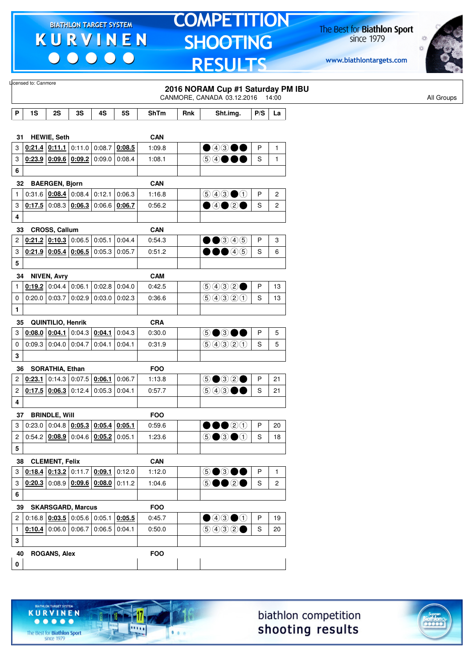$\begin{array}{c|c|c|c|c} \hline \bullet & \bullet & \bullet & \bullet & \bullet \end{array}$ 

# **TOMPETITION SHOOTING RESULTS**

The Best for **Biathlon Sport**<br>since 1979

www.biathlontargets.com



|                | Licensed to: Canmore |                        |                                              |        |        |               |     | 2016 NORAM Cup #1 Saturday PM IBU<br>CANMORE, CANADA 03.12.2016 14:00                  |               |                       | All Groups |
|----------------|----------------------|------------------------|----------------------------------------------|--------|--------|---------------|-----|----------------------------------------------------------------------------------------|---------------|-----------------------|------------|
| P              | 1S                   | 2S                     | 3S                                           | 4S     | 5S     | ShTm          | Rnk | Sht.img.                                                                               | P/S           | La                    |            |
|                |                      |                        |                                              |        |        |               |     |                                                                                        |               |                       |            |
| 31             |                      | <b>HEWIE, Seth</b>     |                                              |        |        | CAN           |     |                                                                                        |               |                       |            |
| 3              |                      |                        | $0.21.4$ $0.11.1$ 0.11.0 0.08.7              |        | 0:08.5 | 1:09.8        |     | $\bullet$ 43 00                                                                        | P             | $\mathbf{1}$          |            |
| 3              |                      |                        | $0.23.9$ 0.09.6 0.09.2 0.09.0                |        | 0:08.4 | 1:08.1        |     | 54●●●                                                                                  | S             | $\mathbf{1}$          |            |
| 6              |                      |                        |                                              |        |        |               |     |                                                                                        |               |                       |            |
| 32             |                      | <b>BAERGEN, Bjorn</b>  |                                              |        |        | <b>CAN</b>    |     |                                                                                        |               |                       |            |
| 1              | 0:31.6               | 0:08.4                 | 0:08.4                                       | 0:12.1 | 0:06.3 | 1:16.8        |     | $\textcircled{\scriptsize{9}}\textcircled{\scriptsize{9}}\textcircled{\scriptsize{1}}$ | P             | $\overline{2}$        |            |
| 3              |                      |                        | $0.17.5$ 0:08.3 $0.06.3$ 0:06.6              |        | 0:06.7 | 0:56.2        |     | $\bullet$ 4 $\bullet$ 2 $\bullet$                                                      | S             | $\overline{c}$        |            |
| 4              |                      |                        |                                              |        |        |               |     |                                                                                        |               |                       |            |
| 33             |                      | CROSS, Callum          |                                              |        |        | CAN           |     |                                                                                        |               |                       |            |
| 2              |                      |                        | $0.21.2$ $0.10.3$ 0:06.5 0:05.1              |        | 0:04.4 | 0:54.3        |     | $\bullet$ 345                                                                          | P             | 3                     |            |
| 3              |                      |                        | $0:21.9$ 0:05.4 0:06.5                       | 0:05.3 | 0:05.7 | 0:51.2        |     | 00046                                                                                  | $\mathsf S$   | 6                     |            |
| 5              |                      |                        |                                              |        |        |               |     |                                                                                        |               |                       |            |
| 34             |                      | <b>NIVEN, Avry</b>     |                                              |        |        | <b>CAM</b>    |     |                                                                                        |               |                       |            |
| 1              |                      | $0:19.2$ 0:04.4 0:06.1 |                                              | 0:02.8 | 0:04.0 | 0:42.5        |     | (50000)                                                                                | P             | 13                    |            |
| 0              |                      | $0:20.0$ 0:03.7        | 0:02.9                                       | 0:03.0 | 0:02.3 | 0:36.6        |     | 90300                                                                                  | S             | 13                    |            |
| $\mathbf{1}$   |                      |                        |                                              |        |        |               |     |                                                                                        |               |                       |            |
| 35             |                      | QUINTILIO, Henrik      |                                              |        |        | <b>CRA</b>    |     |                                                                                        |               |                       |            |
| 3              |                      |                        | $0.08.0$ $0.04.1$ 0.04.3 0.04.1              |        | 0.04.3 | 0:30.0        |     | $\circledcirc$ $\bullet$                                                               | P             | 5                     |            |
| 0              |                      |                        | $0.09.3$ 0.04.0 0.04.7                       | 0:04.1 | 0:04.1 | 0:31.9        |     | 9990                                                                                   | S             | 5                     |            |
| 3              |                      |                        |                                              |        |        |               |     |                                                                                        |               |                       |            |
| 36             |                      | <b>SORATHIA, Ethan</b> |                                              |        |        | <b>FOO</b>    |     |                                                                                        |               |                       |            |
| 2              | 0:23.1               |                        | $0:14.3$ 0:07.5 0:06.1                       |        | 0:06.7 | 1:13.8        |     | $\circledcirc \bullet \circledcirc \circ \bullet$                                      | P             | 21                    |            |
| 2              |                      | 0.17.5   0.06.3        | 0:12.4                                       | 0:05.3 | 0:04.1 | 0:57.7        |     | (5) (4) (3)                                                                            | $\mathbf S$   | 21                    |            |
| 4              |                      |                        |                                              |        |        |               |     |                                                                                        |               |                       |            |
| 37             |                      | <b>BRINDLE, Will</b>   |                                              |        |        | <b>FOO</b>    |     |                                                                                        |               |                       |            |
| 3              |                      |                        | $0.23.0   0.04.8   0.05.3   0.05.4   0.05.1$ |        |        | 0:59.6        |     | 00020                                                                                  | P             | 20                    |            |
| 2              |                      |                        | $0.54.2$ $0.08.9$ $0.04.6$ $0.05.2$ $0.05.1$ |        |        | 1:23.6        |     | $\circledcirc \bullet \circledcirc \bullet \circledcirc$                               | S             | 18                    |            |
| 5              |                      |                        |                                              |        |        |               |     |                                                                                        |               |                       |            |
|                |                      |                        |                                              |        |        |               |     |                                                                                        |               |                       |            |
| 3              | 38 CLEMENT, Felix    |                        | $0.18.4$ $0.13.2$ 0.11.7 0.09.1              |        | 0:12.0 | CAN<br>1:12.0 |     | 5●3●●                                                                                  | P             | $\mathbf{1}$          |            |
|                |                      |                        | $0.20.3$ 0.08.9 0.09.6 0.08.0                |        | 0:11.2 |               |     |                                                                                        | S             | $\mathbf{2}^{\prime}$ |            |
| 3              |                      |                        |                                              |        |        | 1:04.6        |     | 5●●2●                                                                                  |               |                       |            |
| 6              |                      |                        |                                              |        |        |               |     |                                                                                        |               |                       |            |
| 39             |                      |                        | <b>SKARSGARD, Marcus</b>                     |        |        | <b>FOO</b>    |     |                                                                                        |               |                       |            |
| $\overline{c}$ |                      |                        | $0.16.8$ $0.03.5$ 0.05.6 0.05.1              |        | 0:05.5 | 0:45.7        |     | $\bigcirc$ 4300                                                                        | $\mathsf{P}$  | 19                    |            |
| $\mathbf{1}$   |                      |                        | $0.10.4$ 0:06.0 0:06.7 0:06.5 0:04.1         |        |        | 0:50.0        |     | $\bigcirc \bigcirc \bigcirc \bigcirc \bigcirc \bigcirc \bullet$                        | ${\mathbb S}$ | 20                    |            |
| 3              |                      |                        |                                              |        |        |               |     |                                                                                        |               |                       |            |
| 40             |                      | <b>ROGANS, Alex</b>    |                                              |        |        | <b>FOO</b>    |     |                                                                                        |               |                       |            |
| $\mathbf 0$    |                      |                        |                                              |        |        |               |     |                                                                                        |               |                       |            |





The Best for **Biathlon Sport**<br>since 1979

TARGET SYSTEM

17

11111

 $1.1.1$ 

**KURVINEN** 

 $• • • • •$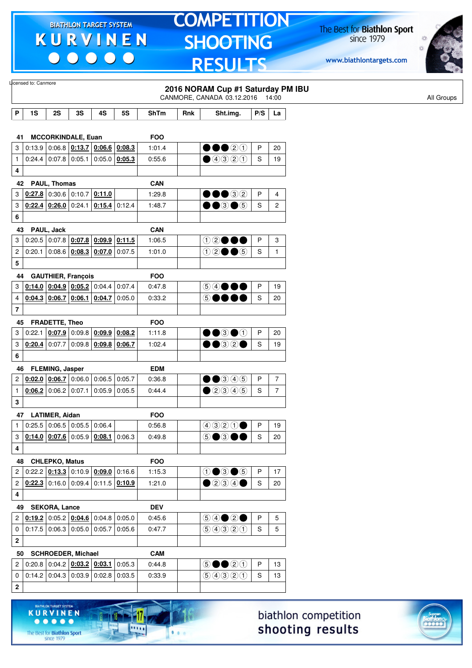$\begin{array}{c} \bullet\bullet\bullet\bullet\bullet\bullet \end{array}$ 

**KURVINEN** 

 $\begin{array}{ccccccccccccccccc} \bullet & \bullet & \bullet & \bullet & \bullet & \bullet & \bullet \end{array}$ 

The Best for **Biathlon Sport**<br>since 1979

11

11111

 $1.1.1$ 

## **TOMPETITION SHOOTING RESULTS**

The Best for **Biathlon Sport**<br>since 1979



|                         |                      |                                                                                                      |    |                                                |           |                      |     | $\blacksquare$                                           |             |                |
|-------------------------|----------------------|------------------------------------------------------------------------------------------------------|----|------------------------------------------------|-----------|----------------------|-----|----------------------------------------------------------|-------------|----------------|
|                         | Licensed to: Canmore |                                                                                                      |    |                                                |           |                      |     | 2016 NORAM Cup #1 Saturday PM IBU                        |             |                |
|                         |                      |                                                                                                      |    |                                                |           |                      |     | CANMORE, CANADA 03.12.2016 14:00                         |             |                |
| P                       | 1S                   | 2S                                                                                                   | 3S | 4S                                             | <b>5S</b> | ShTm                 | Rnk | Sht.img.                                                 | P/S         | La             |
|                         |                      |                                                                                                      |    |                                                |           |                      |     |                                                          |             |                |
| 41                      |                      | <b>MCCORKINDALE, Euan</b>                                                                            |    |                                                |           | <b>FOO</b>           |     |                                                          |             |                |
| 3                       |                      | $0:13.9$ 0:06.8 0:13.7 0:06.6 0:08.3                                                                 |    |                                                |           | 1:01.4               |     | $\bullet\bullet\circ\circ$                               | P           | 20             |
| $\mathbf{1}$            |                      | $0.24.4$ 0.07.8 0.05.1 0.05.0 0.05.3                                                                 |    |                                                |           | 0:55.6               |     | ①③③②①                                                    | S           | 19             |
| 4                       |                      |                                                                                                      |    |                                                |           |                      |     |                                                          |             |                |
| 42                      |                      | PAUL, Thomas                                                                                         |    |                                                |           | <b>CAN</b>           |     |                                                          |             |                |
| 3                       |                      | $0.27.8$ 0:30.6 0:10.7 0:11.0                                                                        |    |                                                |           | 1:29.8               |     | $\bullet\bullet\circ\circ$                               | P           | 4              |
| 3                       |                      | $0.22.4$ $0.26.0$ 0.24.1 $0.15.4$ 0.12.4                                                             |    |                                                |           | 1:48.7               |     | $\bullet\bullet$ 3 $\bullet$ 5                           | S           | 2              |
| 6                       |                      |                                                                                                      |    |                                                |           |                      |     |                                                          |             |                |
| 43                      |                      | PAUL, Jack                                                                                           |    |                                                |           | <b>CAN</b>           |     |                                                          |             |                |
| 3                       |                      | $0:20.5   0:07.8   0:07.8   0:09.9   0:11.5$                                                         |    |                                                |           | 1:06.5               |     | ⊕©●●●                                                    | P           | 3              |
| 2                       | 0:20.1               |                                                                                                      |    | 0.08.6   0.08.3   0.07.0                       | 0:07.5    | 1:01.0               |     | $02 \bullet 6$                                           | $\mathbf S$ | $\mathbf{1}$   |
| 5                       |                      |                                                                                                      |    |                                                |           |                      |     |                                                          |             |                |
| 44                      |                      | <b>GAUTHIER, François</b>                                                                            |    |                                                |           | <b>FOO</b>           |     |                                                          |             |                |
| 3                       |                      | $0.14.0$ $0.04.9$ $0.05.2$ 0.04.4                                                                    |    |                                                | 0:07.4    | 0:47.8               |     | 54●●●                                                    | P           | 19             |
| 4                       |                      | $0.04.3$ $0.06.7$ $0.06.1$ $0.04.7$ $0.05.0$                                                         |    |                                                |           | 0:33.2               |     | 50000                                                    | S           | 20             |
| $\overline{7}$          |                      |                                                                                                      |    |                                                |           |                      |     |                                                          |             |                |
| 45                      |                      | FRADETTE, Theo                                                                                       |    |                                                |           | <b>FOO</b>           |     |                                                          |             |                |
| 3                       | 0:22.1               |                                                                                                      |    | $\vert 0.07.9 \vert 0.09.8 \vert 0.09.9 \vert$ | 0:08.2    | 1:11.8               |     | $\bullet\bullet$ 3 $\bullet$ 1                           | P           | 20             |
| 3                       | 0:20.4               |                                                                                                      |    | $0.07.7$ 0.09.8 $0.09.8$ 0.09.8                |           | 1:02.4               |     | $\bullet\bullet$ 32 $\bullet$                            | S           | 19             |
| 6                       |                      |                                                                                                      |    |                                                |           |                      |     |                                                          |             |                |
|                         |                      |                                                                                                      |    |                                                |           |                      |     |                                                          |             |                |
| 46<br>$\overline{c}$    |                      | <b>FLEMING, Jasper</b><br>$\vert$ 0:02.0 $\vert$ 0:06.7 $\vert$ 0:06.0 $\vert$ 0:06.5 $\vert$ 0:05.7 |    |                                                |           | <b>EDM</b><br>0:36.8 |     | $\bullet\bullet$ 346                                     | P           | $\overline{7}$ |
| $\mathbf{1}$            |                      | $0.06.2$ 0:06.2 0:07.1                                                                               |    | $0.05.9$ 0.05.5                                |           | 0:44.4               |     | $\bigcirc$ 20045                                         | S           | $\overline{7}$ |
|                         |                      |                                                                                                      |    |                                                |           |                      |     |                                                          |             |                |
| 3                       |                      |                                                                                                      |    |                                                |           |                      |     |                                                          |             |                |
|                         |                      | 47 LATIMER, Aidan<br>1   0.25.5   0.06.5   0.05.5   0.06.4                                           |    |                                                |           | <b>FOO</b>           |     |                                                          |             |                |
|                         |                      |                                                                                                      |    |                                                |           | 0:56.8               |     | $9920$ P 19                                              |             |                |
| $\mathbf{3}$            |                      | $0.14.0$ $0.07.6$ 0.05.9 0.08.1 0.06.3                                                               |    |                                                |           | 0:49.8               |     | 5●3●●                                                    | S           | 20             |
| $\overline{\mathbf{4}}$ |                      |                                                                                                      |    |                                                |           |                      |     |                                                          |             |                |
| 48                      |                      | <b>CHLEPKO, Matus</b>                                                                                |    |                                                |           | <b>FOO</b>           |     |                                                          |             |                |
| $\overline{\mathbf{c}}$ |                      | $0:22.2$ $0:13.3$ $0:10.9$ $0:09.0$ $0:16.6$                                                         |    |                                                |           | 1:15.3               |     | $0 \bullet 3 \bullet 5$                                  | P           | 17             |
| 2                       |                      | $0.22.3$ 0:16.0 0:09.4 0:11.5 0:10.9                                                                 |    |                                                |           | 1:21.0               |     | $\bullet$ 234 $\bullet$                                  | S           | 20             |
| 4                       |                      |                                                                                                      |    |                                                |           |                      |     |                                                          |             |                |
| 49                      |                      | <b>SEKORA, Lance</b>                                                                                 |    |                                                |           | <b>DEV</b>           |     |                                                          |             |                |
| 2                       |                      | $0.19.2$ 0.05.2 0.04.6 0.04.8 0.05.0                                                                 |    |                                                |           | 0:45.6               |     | $\circledcircledast \circledast \bullet$                 | P           | 5              |
| $\mathbf 0$             |                      | $0.17.5$ 0.06.3 0.05.0 0.05.7 0.05.6                                                                 |    |                                                |           | 0:47.7               |     | 90000                                                    | S           | 5              |
| $\mathbf 2$             |                      |                                                                                                      |    |                                                |           |                      |     |                                                          |             |                |
|                         |                      | 50 SCHROEDER, Michael                                                                                |    |                                                |           | <b>CAM</b>           |     |                                                          |             |                |
| $\overline{2}$          |                      | $0.20.8$ 0.04.2 $0.03.2$ 0.03.1                                                                      |    |                                                | 0:05.3    | 0:44.8               |     | $\circledcirc \bullet \bullet \circledcirc \circledcirc$ | P           | 13             |
| 0                       |                      | $0.14.2$ 0.04.3 0.03.9 0.02.8 0.03.5                                                                 |    |                                                |           | 0:33.9               |     | 9990                                                     | S           | 13             |
| $\mathbf 2$             |                      |                                                                                                      |    |                                                |           |                      |     |                                                          |             |                |
|                         |                      |                                                                                                      |    |                                                |           |                      |     |                                                          |             |                |



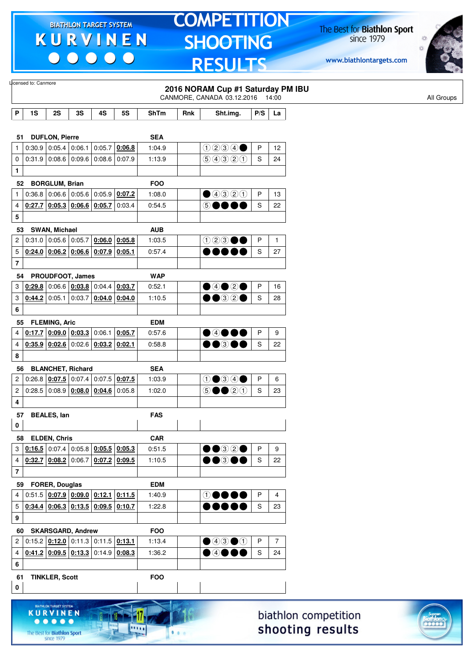00000

 $. . . . .$ 

The Best for **Biathlon Sport**<br>since 1979

.....

 $1.1.1$ 

## **TOMPETITION SHOOTING RESULTS**

The Best for **Biathlon Sport**<br>since 1979

www.biathlontargets.com



|                         | Licensed to: Canmore |                                    |                                                                                                                      |                 |                                                                                                                                                  |                                            |     | 2016 NORAM Cup #1 Saturday PM IBU<br>CANMORE, CANADA 03.12.2016 14:00      |              |                |                      | All Groups |
|-------------------------|----------------------|------------------------------------|----------------------------------------------------------------------------------------------------------------------|-----------------|--------------------------------------------------------------------------------------------------------------------------------------------------|--------------------------------------------|-----|----------------------------------------------------------------------------|--------------|----------------|----------------------|------------|
| P                       | 1S                   | 2S                                 | 3S                                                                                                                   | 4S              | <b>5S</b>                                                                                                                                        | <b>ShTm</b>                                | Rnk | Sht.img.                                                                   | P/S          | La             |                      |            |
|                         |                      |                                    |                                                                                                                      |                 |                                                                                                                                                  |                                            |     |                                                                            |              |                |                      |            |
| 51                      |                      | <b>DUFLON, Pierre</b>              |                                                                                                                      |                 |                                                                                                                                                  | <b>SEA</b>                                 |     |                                                                            |              |                |                      |            |
| 1                       |                      | $0:30.9$ 0:05.4 0:06.1             |                                                                                                                      | 0:05.7          | 0:06.8                                                                                                                                           | 1:04.9                                     |     | 0234                                                                       | P            | 12             |                      |            |
| 0                       |                      |                                    | $0:31.9$ 0:08.6 0:09.6                                                                                               | 0.08.6          | 0:07.9                                                                                                                                           | 1:13.9                                     |     | 9990                                                                       | S            | 24             |                      |            |
| 1                       |                      |                                    |                                                                                                                      |                 |                                                                                                                                                  |                                            |     |                                                                            |              |                |                      |            |
| 52                      |                      | <b>BORGLUM, Brian</b>              |                                                                                                                      |                 |                                                                                                                                                  | <b>FOO</b>                                 |     |                                                                            |              |                |                      |            |
| 1                       | 0:36.8               |                                    | $\vert 0.06.6 \, \vert 0.05.6 \, \vert 0.05.9 \, \vert$                                                              |                 | 0:07.2                                                                                                                                           | 1:08.0                                     |     | ①③③②                                                                       | P            | 13             |                      |            |
| 4                       |                      |                                    | $0.27.7$ 0.05.3 0.06.6 0.05.7                                                                                        |                 | 0:03.4                                                                                                                                           | 0:54.5                                     |     | 6●                                                                         | S            | 22             |                      |            |
| 5                       |                      |                                    |                                                                                                                      |                 |                                                                                                                                                  |                                            |     |                                                                            |              |                |                      |            |
| 53                      |                      | SWAN, Michael                      |                                                                                                                      |                 |                                                                                                                                                  | <b>AUB</b>                                 |     |                                                                            |              |                |                      |            |
| 2                       |                      |                                    | $0:31.0$ 0:05.6 0:05.7                                                                                               |                 | $0.06.0$ 0.05.8                                                                                                                                  | 1:03.5                                     |     | $023 \bullet \bullet$                                                      | P            | $\mathbf{1}$   |                      |            |
| 5                       |                      |                                    | $\left  \frac{0.24.0}{0.06.2} \right $ $\left  \frac{0.06.6}{0.07.9} \right $ $\left  \frac{0.05.1}{0.05.1} \right $ |                 |                                                                                                                                                  | 0:57.4                                     |     | 000 O (                                                                    | S            | 27             |                      |            |
| $\overline{\mathbf{r}}$ |                      |                                    |                                                                                                                      |                 |                                                                                                                                                  |                                            |     |                                                                            |              |                |                      |            |
| 54                      |                      |                                    | PROUDFOOT, James                                                                                                     |                 |                                                                                                                                                  | <b>WAP</b>                                 |     |                                                                            |              |                |                      |            |
| 3                       |                      |                                    | $\left 0.29.8\right 0.06.6\left 0.03.8\right 0.04.4\left 0.03.7\right $                                              |                 |                                                                                                                                                  | 0:52.1                                     |     | $\bigcirc$ 4020                                                            | P            | 16             |                      |            |
| 3                       |                      |                                    | $0.44.2$ 0:05.1 0:03.7                                                                                               | $0:04.0$ 0:04.0 |                                                                                                                                                  | 1:10.5                                     |     | $\bullet\textcolor{red}{\bullet\circledcirc}\textcolor{red}{\circ\bullet}$ | S            | 28             |                      |            |
| 6                       |                      |                                    |                                                                                                                      |                 |                                                                                                                                                  |                                            |     |                                                                            |              |                |                      |            |
| 55                      |                      | <b>FLEMING, Aric</b>               |                                                                                                                      |                 |                                                                                                                                                  | <b>EDM</b>                                 |     |                                                                            |              |                |                      |            |
| 4                       |                      |                                    | $0.17.7$ $0.09.0$ $0.03.3$ 0.06.1 0.05.7                                                                             |                 |                                                                                                                                                  | 0:57.6                                     |     | $\bullet$ 4000                                                             | P            | 9              |                      |            |
| 4                       |                      |                                    | $0.35.9$ $0.02.6$ 0:02.6 $0.03.2$ 0:02.1                                                                             |                 |                                                                                                                                                  | 0:58.8                                     |     | $\bullet\bullet$ 300                                                       | S            | 22             |                      |            |
| 8                       |                      |                                    |                                                                                                                      |                 |                                                                                                                                                  |                                            |     |                                                                            |              |                |                      |            |
| 56                      |                      |                                    | <b>BLANCHET, Richard</b>                                                                                             |                 |                                                                                                                                                  | <b>SEA</b>                                 |     |                                                                            |              |                |                      |            |
| 2                       |                      |                                    | $0.26.8$ $0.07.5$ 0.07.4 0.07.5 0.07.5                                                                               |                 |                                                                                                                                                  | 1:03.9                                     |     | $0$ $0$ $0$ $0$                                                            | P            | 6              |                      |            |
| 2                       |                      |                                    | $0.28.5   0.08.9   0.08.0   0.04.6   0.05.8$                                                                         |                 |                                                                                                                                                  | 1:02.0                                     |     | $\circledcirc \bullet \bullet \circledcirc \circledcirc$                   | S            | 23             |                      |            |
| 4                       |                      |                                    |                                                                                                                      |                 |                                                                                                                                                  |                                            |     |                                                                            |              |                |                      |            |
| 57                      |                      | <b>BEALES, lan</b>                 |                                                                                                                      |                 |                                                                                                                                                  | <b>FAS</b>                                 |     |                                                                            |              |                |                      |            |
| $\mathbf 0$             |                      |                                    |                                                                                                                      |                 |                                                                                                                                                  |                                            |     |                                                                            |              |                |                      |            |
| 58                      |                      | <b>ELDEN, Chris</b>                |                                                                                                                      |                 |                                                                                                                                                  | <b>CAR</b>                                 |     |                                                                            |              |                |                      |            |
| 3                       |                      |                                    | $0.16.5$ 0.07.4 0.05.8 0.05.5 0.05.3                                                                                 |                 |                                                                                                                                                  | 0:51.5                                     |     | $\bullet\textcolor{red}{\bullet\circledcirc}$                              | $\mathsf{P}$ | 9              |                      |            |
| 4                       |                      |                                    | $0.32.7$ $0.08.2$ 0:06.7 0:07.2 0:09.5                                                                               |                 |                                                                                                                                                  | 1:10.5                                     |     | $\bullet\bullet$ 300                                                       | S            | 22             |                      |            |
| $\bf 7$                 |                      |                                    |                                                                                                                      |                 |                                                                                                                                                  |                                            |     |                                                                            |              |                |                      |            |
| 59                      |                      | <b>FORER, Douglas</b>              |                                                                                                                      |                 |                                                                                                                                                  | <b>EDM</b>                                 |     |                                                                            |              |                |                      |            |
| 4                       |                      |                                    | $0:51.5$ $0:07.9$ $0:09.0$ $0:12.1$ $0:11.5$                                                                         |                 |                                                                                                                                                  | 1:40.9                                     |     | $\mathbf \Theta \bullet \bullet \bullet$                                   | P            | 4              |                      |            |
| 5                       |                      |                                    |                                                                                                                      |                 | $\vert$ <u>0:34.4 <math>\vert</math> 0:06.3 <math>\vert</math> 0:13.5 <math>\vert</math> 0:09.5 <math>\vert</math> 0:10.7 <math>\vert</math></u> | 1:22.8                                     |     |                                                                            | S            | 23             |                      |            |
| 9                       |                      |                                    |                                                                                                                      |                 |                                                                                                                                                  |                                            |     |                                                                            |              |                |                      |            |
| 60                      |                      |                                    | <b>SKARSGARD, Andrew</b>                                                                                             |                 |                                                                                                                                                  | <b>FOO</b>                                 |     |                                                                            |              |                |                      |            |
| 2                       |                      |                                    | $0:15.2$ $0:12.0$ $0:11.3$ $0:11.5$ $0:13.1$                                                                         |                 |                                                                                                                                                  | 1:13.4                                     |     | $\bigcirc$ 4300                                                            | P            | $\overline{7}$ |                      |            |
| 4                       |                      |                                    | $0.41.2   0.09.5   0.13.3   0.14.9   0.08.3$                                                                         |                 |                                                                                                                                                  | 1:36.2                                     |     | $\bullet$ 4000                                                             | S            | 24             |                      |            |
| 6                       |                      |                                    |                                                                                                                      |                 |                                                                                                                                                  |                                            |     |                                                                            |              |                |                      |            |
| 61                      |                      | <b>TINKLER, Scott</b>              |                                                                                                                      |                 |                                                                                                                                                  | <b>FOO</b>                                 |     |                                                                            |              |                |                      |            |
| 0                       |                      |                                    |                                                                                                                      |                 |                                                                                                                                                  |                                            |     |                                                                            |              |                |                      |            |
|                         |                      |                                    |                                                                                                                      |                 |                                                                                                                                                  |                                            |     |                                                                            |              |                |                      |            |
|                         |                      | BIATHLON TARGET SYSTEM<br>KURVINEN |                                                                                                                      |                 |                                                                                                                                                  | No. of the Contract of the Contract of the |     |                                                                            |              |                | hinthlon compotition |            |

biathlon competition shooting results

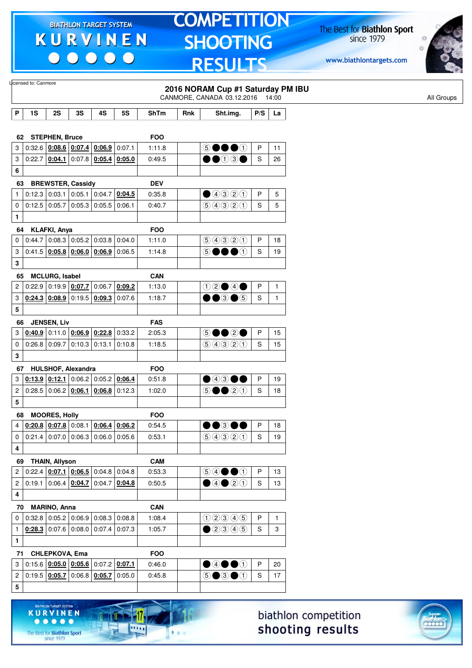$\begin{array}{c} \bullet\bullet\bullet\bullet\bullet\bullet \end{array}$ 

**KURVINEN** 

 $\begin{array}{ccccccccccccccccc} \bullet & \bullet & \bullet & \bullet & \bullet & \bullet & \bullet \end{array}$ 

The Best for **Biathlon Sport**<br>since 1979

11

11111

 $1.1.1$ 

## **TOMPETITION SHOOTING RESULTS**

The Best for **Biathlon Sport**<br>since 1979

www.biathlontargets.com



|                         | licensed to: Canmore                 |                                                                                      |        |                 |           |                      |     |                                                            |              |              |
|-------------------------|--------------------------------------|--------------------------------------------------------------------------------------|--------|-----------------|-----------|----------------------|-----|------------------------------------------------------------|--------------|--------------|
|                         |                                      |                                                                                      |        |                 |           |                      |     | 2016 NORAM Cup #1 Saturday PM IBU                          |              |              |
|                         |                                      |                                                                                      |        |                 |           |                      |     | CANMORE, CANADA 03.12.2016 14:00                           |              |              |
| $\mathsf P$             | 1S                                   | 2S                                                                                   | 3S     | 4S              | <b>5S</b> | ShTm                 | Rnk | Sht.img.                                                   | P/S          | La           |
|                         |                                      |                                                                                      |        |                 |           |                      |     |                                                            |              |              |
| 62                      |                                      | <b>STEPHEN, Bruce</b>                                                                |        |                 |           | <b>FOO</b>           |     |                                                            |              |              |
| 3                       |                                      | 0.32.6   0.08.6   0.07.4   0.06.9                                                    |        |                 | 0:07.1    | 1:11.8               |     | 5●●●①                                                      | P            | 11           |
| 3                       |                                      | $0:22.7$ $0:04.1$ 0:07.8 0:05.4 0:05.0                                               |        |                 |           | 0:49.5               |     | $\bullet\textcolor{red}{\bullet}\textcolor{green}{0}$ 30   | S            | 26           |
| 6                       |                                      |                                                                                      |        |                 |           |                      |     |                                                            |              |              |
| 63                      |                                      | <b>BREWSTER, Cassidy</b>                                                             |        |                 |           | <b>DEV</b>           |     |                                                            |              |              |
| 1                       |                                      | $0:12.3$ 0:03.1                                                                      |        | $0:05.1$ 0:04.7 | 0:04.5    | 0:35.8               |     | $\bigcirc$ 4320                                            | P            | 5            |
| 0                       |                                      | $0:12.5$ 0:05.7                                                                      | 0:05.3 | 0:05.5          | 0:06.1    | 0:40.7               |     | 99900                                                      | S            | 5            |
| 1                       |                                      |                                                                                      |        |                 |           |                      |     |                                                            |              |              |
| 64                      |                                      | <b>KLAFKI, Anya</b>                                                                  |        |                 |           | <b>FOO</b>           |     |                                                            |              |              |
| 0                       |                                      | $0.44.7$ 0.08.3 0.05.2 0.03.8                                                        |        |                 | 0:04.0    | 1:11.0               |     | 90300                                                      | P            | 18           |
| 3                       |                                      | 0.41.5   0.05.8   0.06.0   0.06.9                                                    |        |                 | 0:06.5    | 1:14.8               |     | 5 ●●●①                                                     | S            | 19           |
| 3                       |                                      |                                                                                      |        |                 |           |                      |     |                                                            |              |              |
| 65                      |                                      | <b>MCLURG, Isabel</b>                                                                |        |                 |           | <b>CAN</b>           |     |                                                            |              |              |
| 2                       |                                      | 0:22.9 0:19.9 0:07.7                                                                 |        | 0:06.7          | 0:09.2    | 1:13.0               |     | $0$ 2000                                                   | P            | $\mathbf{1}$ |
| 3                       |                                      | $0.24.3$ $0.08.9$ 0.19.5 $0.09.3$ 0.07.6                                             |        |                 |           | 1:18.7               |     | $\bullet\bullet$ 3 $\bullet$ 5                             | S            | $\mathbf{1}$ |
| 5                       |                                      |                                                                                      |        |                 |           |                      |     |                                                            |              |              |
| 66                      |                                      | <b>JENSEN, Liv</b>                                                                   |        |                 |           | <b>FAS</b>           |     |                                                            |              |              |
| 3                       |                                      | $0.40.9$ 0.11.0 $0.06.9$ 0.22.8 0.33.2                                               |        |                 |           | 2:05.3               |     | 5●●2●                                                      | P            | 15           |
| $\pmb{0}$               |                                      | $0:26.8$ 0:09.7                                                                      |        | $0:10.3$ 0:13.1 | 0:10.8    | 1:18.5               |     | 99320                                                      | S            | 15           |
| 3                       |                                      |                                                                                      |        |                 |           |                      |     |                                                            |              |              |
| 67                      |                                      | HULSHOF, Alexandra                                                                   |        |                 |           | <b>FOO</b>           |     |                                                            |              |              |
| 3                       |                                      | $0.13.9$ $0.12.1$ 0.06.2 0.05.2                                                      |        |                 | 0:06.4    | 0:51.8               |     | $\bullet$ 43 OO                                            | P            | 19           |
| 2                       |                                      | $0.28.5$ 0.06.2 0.06.1 0.06.8 0.12.3                                                 |        |                 |           | 1:02.0               |     | $\circledcirc$ $\bullet$ $\circledcirc$ $\circlearrowleft$ | S            | 18           |
| 5                       |                                      |                                                                                      |        |                 |           |                      |     |                                                            |              |              |
| 68                      |                                      | <b>MOORES, Holly</b>                                                                 |        |                 |           | <b>FOO</b>           |     |                                                            |              |              |
| $\overline{4}$          |                                      | $\left  \frac{0.20.8}{0.07.8} \right $ 0:08.1 $\left  \frac{0.06.4}{0.06.2} \right $ |        |                 |           | 0:54.5               |     | $\bullet\bullet$ 300                                       | $\mathsf{P}$ | $18\,$       |
| 0                       |                                      | $0.21.4$ 0.07.0 0.06.3 0.06.0 0.05.6                                                 |        |                 |           | 0:53.1               |     | 99900                                                      | S            | 19           |
| $\overline{\mathbf{4}}$ |                                      |                                                                                      |        |                 |           |                      |     |                                                            |              |              |
|                         | 69 THAIN, Allyson                    |                                                                                      |        |                 |           | <b>CAM</b>           |     |                                                            |              |              |
|                         | 2 0:22.4 0:07.1 0:06.5 0:04.8 0:04.8 |                                                                                      |        |                 |           | 0:53.3               |     | $\circledcircledast \bullet \bullet \circledast$           | P            | 13           |
| 2                       |                                      | $\vert 0.19.1 \vert 0.06.4 \vert 0.04.7 \vert 0.04.7 \vert 0.04.8$                   |        |                 |           | 0:50.5               |     | $\bigcirc$ 40 20                                           | S            | 13           |
| 4                       |                                      |                                                                                      |        |                 |           |                      |     |                                                            |              |              |
|                         |                                      |                                                                                      |        |                 |           |                      |     |                                                            |              |              |
|                         | 70 MARINO, Anna                      | $0.32.8$ 0.05.2 0.06.9 0.08.3 0.08.8                                                 |        |                 |           | <b>CAN</b><br>1:08.4 |     | 02305                                                      | P            | $\mathbf{1}$ |
| 0                       |                                      | $0.28.3$ 0.07.6 0.08.0 0.07.4 0.07.3                                                 |        |                 |           |                      |     |                                                            | S            |              |
| $\mathbf{1}$            |                                      |                                                                                      |        |                 |           | 1:05.7               |     | $\bigcirc$ 2345                                            |              | 3            |
| $\mathbf{1}$            |                                      |                                                                                      |        |                 |           |                      |     |                                                            |              |              |
|                         | 71 CHLEPKOVA, Ema                    |                                                                                      |        |                 |           | <b>FOO</b>           |     |                                                            |              |              |
| $\mathbf{3}$            |                                      | $0.15.6$ $0.05.0$ $0.05.6$ $0.07.2$ $0.07.1$                                         |        |                 |           | 0:46.0               |     | $\bullet$ 4 $\bullet$ 0                                    | $\mathsf{P}$ | 20           |
| $\overline{c}$          |                                      | $0.19.5 \mid 0.05.7 \mid 0.06.8 \mid 0.05.7 \mid 0.05.0$                             |        |                 |           | 0:45.8               |     | $\circledcirc$ $\bullet$ $\circledcirc$                    | S            | 17           |
| 5                       |                                      |                                                                                      |        |                 |           |                      |     |                                                            |              |              |
|                         |                                      |                                                                                      |        |                 |           |                      |     |                                                            |              |              |

biathlon competition shooting results

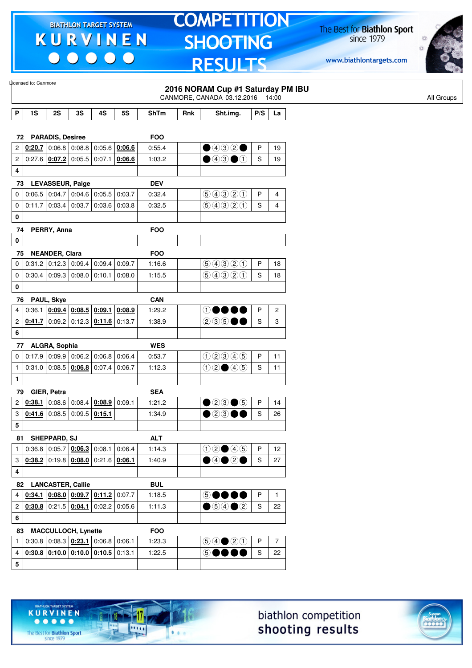$\begin{array}{c|c} \bullet & \bullet & \bullet & \bullet \end{array}$ 

## **TOMPETITION SHOOTING RESULTS**

The Best for **Biathlon Sport**<br>since 1979

www.biathlontargets.com



|                         | Licensed to: Canmore          |                        |                                                                                   |        |                 |                      |     |                                                                                        |                           |                |
|-------------------------|-------------------------------|------------------------|-----------------------------------------------------------------------------------|--------|-----------------|----------------------|-----|----------------------------------------------------------------------------------------|---------------------------|----------------|
|                         |                               |                        |                                                                                   |        |                 |                      |     | 2016 NORAM Cup #1 Saturday PM IBU<br>CANMORE, CANADA 03.12.2016 14:00                  |                           |                |
|                         |                               |                        |                                                                                   |        |                 |                      |     |                                                                                        |                           |                |
| P                       | 1S                            | 2S                     | 3S                                                                                | 4S     | <b>5S</b>       | <b>ShTm</b>          | Rnk | Sht.img.                                                                               | $\mathsf{P} / \mathsf{S}$ | La             |
|                         |                               |                        |                                                                                   |        |                 |                      |     |                                                                                        |                           |                |
| 2                       | 72 PARADIS, Desiree<br>0:20.7 |                        | $\vert$ 0:06.8 $\vert$ 0:08.8 $\vert$ 0:05.6 $\vert$ <u>0:06.6</u>                |        |                 | <b>FOO</b><br>0:55.4 |     | $\bigcirc$ 4320                                                                        | P                         | 19             |
| $\overline{\mathbf{c}}$ |                               |                        | $0:27.6$   0:07.2   0:05.5                                                        | 0:07.1 | 0:06.6          | 1:03.2               |     | $\bullet$ 43 $\bullet$ 1                                                               | S                         | 19             |
| 4                       |                               |                        |                                                                                   |        |                 |                      |     |                                                                                        |                           |                |
| 73                      |                               |                        | LEVASSEUR, Paige                                                                  |        |                 | <b>DEV</b>           |     |                                                                                        |                           |                |
| 0                       |                               |                        | $0.06.5$ 0:04.7 0:04.6 0:05.5                                                     |        | 0:03.7          | 0:32.4               |     | 99320                                                                                  | P                         | 4              |
| 0                       | 0:11.7                        |                        | 0.03.4 0.03.7                                                                     |        | $0:03.6$ 0:03.8 | 0:32.5               |     | 9990                                                                                   | S                         | 4              |
| 0                       |                               |                        |                                                                                   |        |                 |                      |     |                                                                                        |                           |                |
| 74                      |                               | PERRY, Anna            |                                                                                   |        |                 | <b>FOO</b>           |     |                                                                                        |                           |                |
| 0                       |                               |                        |                                                                                   |        |                 |                      |     |                                                                                        |                           |                |
| 75                      |                               | <b>NEANDER, Clara</b>  |                                                                                   |        |                 | <b>FOO</b>           |     |                                                                                        |                           |                |
| 0                       |                               |                        | $0:31.2$ 0:12.3 0:09.4                                                            | 0:09.4 | 0:09.7          | 1:16.6               |     | 9990                                                                                   | P                         | 18             |
| 0                       |                               | $0:30.4$ 0:09.3 0:08.0 |                                                                                   |        | $0:10.1$ 0:08.0 | 1:15.5               |     | 99900                                                                                  | S                         | 18             |
| 0                       |                               |                        |                                                                                   |        |                 |                      |     |                                                                                        |                           |                |
|                         | 76 PAUL, Skye                 |                        |                                                                                   |        |                 | <b>CAN</b>           |     |                                                                                        |                           |                |
| 4                       | 0:36.1                        |                        | $\vert$ 0:09.4 0:08.5 0:09.1                                                      |        | 0:08.9          | 1:29.2               |     | $\circledcirc\bullet\bullet\bullet$                                                    | P                         | 2              |
| 2                       |                               |                        | $0.41.7$ 0:09.2 0:12.3 0:11.6                                                     |        | 0.13.7          | 1:38.9               |     | 23500                                                                                  | S                         | 3              |
| 6                       |                               |                        |                                                                                   |        |                 |                      |     |                                                                                        |                           |                |
|                         | 77 ALGRA, Sophia              |                        |                                                                                   |        |                 | <b>WES</b>           |     |                                                                                        |                           |                |
| 0                       |                               |                        | $0.17.9$ 0.09.9 0.06.2 0.06.8                                                     |        | 0:06.4          | 0:53.7               |     | 02345                                                                                  | P                         | 11             |
| 1                       |                               |                        | $0:31.0$ 0:08.5 0:06.8                                                            | 0:07.4 | 0:06.7          | 1:12.3               |     | $02 \bullet 45$                                                                        | S                         | 11             |
| $\mathbf{1}$            |                               |                        |                                                                                   |        |                 |                      |     |                                                                                        |                           |                |
| 79                      |                               | GIER, Petra            |                                                                                   |        |                 | <b>SEA</b>           |     |                                                                                        |                           |                |
| 2                       | 0:38.1                        |                        | 0.08.6   0.08.4                                                                   | 0:08.9 | 0:09.1          | 1:21.2               |     | $\bullet$ 23 $\bullet$ 5                                                               | P                         | 14             |
| 3                       |                               |                        | $0.41.6$ 0.08.5 0.09.5                                                            | 0:15.1 |                 | 1:34.9               |     | $\mathcal{O}(\mathfrak{D})$                                                            | S                         | 26             |
| 5                       |                               |                        |                                                                                   |        |                 |                      |     |                                                                                        |                           |                |
|                         | 81 SHEPPARD, SJ               |                        | $0.36.8   0.05.7   0.06.3   0.08.1   0.06.4$                                      |        |                 | <b>ALT</b>           |     | $02 \bullet 45$                                                                        | P                         | 12             |
| $\mathbf{1}$<br>3       |                               |                        | $0.38.2$ 0:19.8 $0.08.0$ 0:21.6 0:06.1                                            |        |                 | 1:14.3<br>1:40.9     |     | $\bigcirc$ 4020                                                                        | S                         | 27             |
| 4                       |                               |                        |                                                                                   |        |                 |                      |     |                                                                                        |                           |                |
|                         |                               |                        |                                                                                   |        |                 |                      |     |                                                                                        |                           |                |
| 4                       | 82 LANCASTER, Callie          |                        | $\left. 0.34.1 \right  0.08.0 \left  0.09.7 \right  0.11.2 \left  0.07.7 \right.$ |        |                 | <b>BUL</b><br>1:18.5 |     | <b>50000</b>                                                                           | P                         | $\mathbf{1}$   |
|                         | 2   0:30.8   0:21.5   0:04.1  |                        |                                                                                   |        | 0.02.2   0.05.6 | 1:11.3               |     | $\bigcirc$ 54 $\bigcirc$ 2                                                             | $\mathbb S$               | 22             |
| 6                       |                               |                        |                                                                                   |        |                 |                      |     |                                                                                        |                           |                |
|                         | 83                            |                        | <b>MACCULLOCH, Lynette</b>                                                        |        |                 | <b>FOO</b>           |     |                                                                                        |                           |                |
| $\mathbf{1}$            |                               |                        | $0.30.8$ 0.08.3 $0.23.1$ 0.06.8 0.06.1                                            |        |                 | 1:23.3               |     | $\textcircled{\scriptsize{9}}\textcircled{\scriptsize{9}}\textcircled{\scriptsize{1}}$ | P                         | $\overline{7}$ |
| 4                       |                               |                        | $0:30.8$ $0:10.0$ $0:10.0$ $0:10.5$ 0:13.1                                        |        |                 | 1:22.5               |     | <b>50000</b>                                                                           | S                         | 22             |
| 5                       |                               |                        |                                                                                   |        |                 |                      |     |                                                                                        |                           |                |
|                         |                               |                        |                                                                                   |        |                 |                      |     |                                                                                        |                           |                |





The Best for **Biathlon Sport**<br>since 1979

TARGET SYSTEM

17

.....

 $1.1.1$ 

**KURVINEN** 

 $\begin{array}{ccccccccccccccccc} \bullet & \bullet & \bullet & \bullet & \bullet & \bullet & \bullet \end{array}$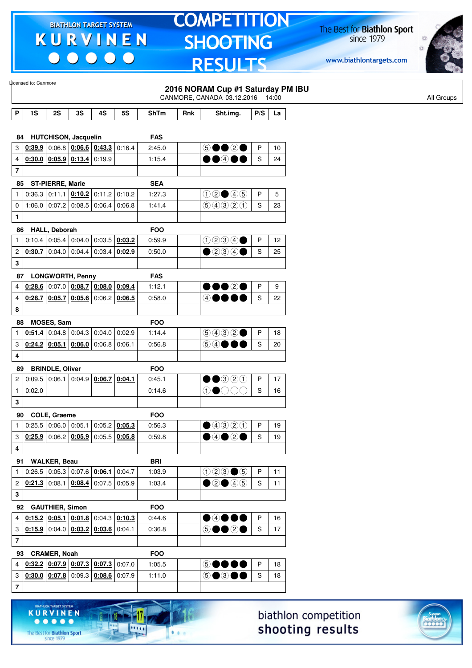$\begin{array}{c|c|c|c|c} \hline \bullet & \bullet & \bullet & \bullet & \bullet \end{array}$ 

**KURVINEN** 

 $\begin{array}{ccccccccccccccccc} \bullet & \bullet & \bullet & \bullet & \bullet & \bullet & \bullet \end{array}$ 

The Best for **Biathlon Sport**<br>since 1979

17

.....

 $1.1.1$ 

# **TOMPETITION SHOOTING RESULTS**

The Best for **Biathlon Sport**<br>since 1979



|                         | Licensed to: Canmore |                         |                                                                            |                 |           |             |     |                                     |     |       |
|-------------------------|----------------------|-------------------------|----------------------------------------------------------------------------|-----------------|-----------|-------------|-----|-------------------------------------|-----|-------|
|                         |                      |                         |                                                                            |                 |           |             |     | 2016 NORAM Cup #1 Saturday PM IBU   |     |       |
|                         |                      |                         |                                                                            |                 |           |             |     | CANMORE, CANADA 03.12.2016          |     | 14:00 |
| P                       | 1S                   | 2S                      | 3S                                                                         | 4S              | <b>5S</b> | <b>ShTm</b> | Rnk | Sht.img.                            | P/S | La    |
|                         |                      |                         |                                                                            |                 |           |             |     |                                     |     |       |
| 84                      |                      |                         | <b>HUTCHISON, Jacquelin</b>                                                |                 |           | <b>FAS</b>  |     |                                     |     |       |
| 3                       |                      |                         | $0.39.9$ 0.06.8 $0.06.6$ 0.43.3 0.16.4                                     |                 |           | 2:45.0      |     | 5●●2●                               | P   | 10    |
| 4                       |                      |                         | $0:30.0$ $0:05.9$ $0:13.4$ 0:19.9                                          |                 |           | 1:15.4      |     | $\bullet\bullet\circ\bullet\bullet$ | S   | 24    |
| $\overline{\mathbf{7}}$ |                      |                         |                                                                            |                 |           |             |     |                                     |     |       |
| 85                      |                      | <b>ST-PIERRE, Marie</b> |                                                                            |                 |           | <b>SEA</b>  |     |                                     |     |       |
| $\mathbf{1}$            |                      |                         | $0:36.3$ 0:11.1 $0:10.2$ 0:11.2 0:10.2                                     |                 |           | 1:27.3      |     | $02 \bullet 45$                     | P   | 5     |
| 0                       |                      |                         | $1:06.0$ 0:07.2 0:08.5                                                     | $0.06.4$ 0.06.8 |           | 1:41.4      |     | 99900                               | S   | 23    |
| 1                       |                      |                         |                                                                            |                 |           |             |     |                                     |     |       |
| 86                      |                      | <b>HALL, Deborah</b>    |                                                                            |                 |           | <b>FOO</b>  |     |                                     |     |       |
| 1                       |                      |                         | $0:10.4$ 0:05.4 0:04.0 0:03.5 0:03.2                                       |                 |           | 0:59.9      |     | 0234                                | P   | 12    |
| 2                       | 0:30.7               |                         | $\vert$ 0:04.0 $\vert$ 0:04.4 $\vert$ 0:03.4 $\vert$ <b>0:02.9</b>         |                 |           | 0:50.0      |     | $\bullet$ 200                       | S   | 25    |
| 3                       |                      |                         |                                                                            |                 |           |             |     |                                     |     |       |
|                         |                      |                         |                                                                            |                 |           |             |     |                                     |     |       |
|                         | 87                   |                         | <b>LONGWORTH, Penny</b>                                                    |                 |           | <b>FAS</b>  |     |                                     |     |       |
| 4                       |                      |                         | $0.28.6$ 0:07.0 0:08.7 0:08.0 0:09.4                                       |                 |           | 1:12.1      |     | $\bullet\bullet\circ\bullet$        | P   | 9     |
| 4                       |                      |                         | $0.28.7$ 0.05.7 0.05.6 0.06.2 0.06.5                                       |                 |           | 0:58.0      |     | 4●●●●                               | S   | 22    |
| 8                       |                      |                         |                                                                            |                 |           |             |     |                                     |     |       |
| 88                      |                      | <b>MOSES, Sam</b>       |                                                                            |                 |           | <b>FOO</b>  |     |                                     |     |       |
| 1                       |                      |                         | $0.51.4$ 0:04.8 0:04.3 0:04.0                                              |                 | 0:02.9    | 1:14.4      |     | 9992                                | P   | 18    |
| 3                       |                      |                         | $0.24.2$ 0.05.1 0.06.0 0.06.8                                              |                 | 0:06.1    | 0:56.8      |     | 54●●●                               | S   | 20    |
| 4                       |                      |                         |                                                                            |                 |           |             |     |                                     |     |       |
| 89                      |                      | <b>BRINDLE, Oliver</b>  |                                                                            |                 |           | <b>FOO</b>  |     |                                     |     |       |
| $\overline{c}$          |                      |                         | $0.09.5$ 0.06.1 0.04.9                                                     | $0.06.7$ 0.04.1 |           | 0:45.1      |     | $\bullet\bullet$ 320                | P   | 17    |
| $\mathbf{1}$            | 0:02.0               |                         |                                                                            |                 |           | 0:14.6      |     | $\circledcirc$                      | S   | 16    |
| 3                       |                      |                         |                                                                            |                 |           |             |     |                                     |     |       |
|                         | 90 COLE, Graeme      |                         |                                                                            |                 |           | <b>FOO</b>  |     |                                     |     |       |
| $\mathbf{1}$            |                      |                         | $0:25.5$ 0:06.0 0:05.1 0:05.2 0:05.3                                       |                 |           | 0:56.3      |     |                                     | P   | 19    |
| 3                       |                      |                         | $\overline{0.25.9}$ 0:06.2 $\overline{0.05.9}$ 0:05.5 $\overline{0.05.8}$  |                 |           | 0:59.8      |     | $\bigcirc$ 4020                     | S   | 19    |
| 4                       |                      |                         |                                                                            |                 |           |             |     |                                     |     |       |
|                         |                      |                         |                                                                            |                 |           |             |     |                                     |     |       |
|                         | 91                   | <b>WALKER, Beau</b>     |                                                                            |                 |           | <b>BRI</b>  |     |                                     |     |       |
| 1                       |                      |                         | $0.26.5$ 0.05.3 0.07.6 0.06.1 0.04.7                                       |                 |           | 1:03.9      |     | $023 \bullet 5$                     | P   | 11    |
| 2                       |                      |                         | $0.21.3$ 0:08.1 $0.08.4$ 0:07.5 0:05.9                                     |                 |           | 1:03.4      |     | ②②④④                                | S   | 11    |
| 3                       |                      |                         |                                                                            |                 |           |             |     |                                     |     |       |
|                         | 92                   | <b>GAUTHIER, Simon</b>  |                                                                            |                 |           | <b>FOO</b>  |     |                                     |     |       |
| 4                       |                      |                         | $0.15.2$ $0.05.1$ $0.01.8$ 0.04.3 $0.10.3$                                 |                 |           | 0.44.6      |     | $\bullet$ 4000                      | P   | 16    |
| 3                       |                      |                         | $\vert$ 0:15.9 $\vert$ 0:04.0 $\vert$ 0:03.2 $\vert$ 0:03.6 $\vert$ 0:04.1 |                 |           | 0:36.8      |     | 50020                               | S   | 17    |
| $\overline{\mathbf{7}}$ |                      |                         |                                                                            |                 |           |             |     |                                     |     |       |
|                         | 93                   | <b>CRAMER, Noah</b>     |                                                                            |                 |           | <b>FOO</b>  |     |                                     |     |       |
| 4                       |                      |                         | $0.32.2$ 0.07.9 0.07.3 0.07.3 0.07.0                                       |                 |           | 1:05.5      |     | <b>50000</b>                        | P   | 18    |
| 3                       |                      |                         | $0.30.0$ $0.07.8$ 0.09.3 $0.08.6$ 0.07.9                                   |                 |           | 1:11.0      |     | 5●3●●                               | S   | 18    |
| $\overline{\mathbf{7}}$ |                      |                         |                                                                            |                 |           |             |     |                                     |     |       |
|                         |                      |                         |                                                                            |                 |           |             |     |                                     |     |       |

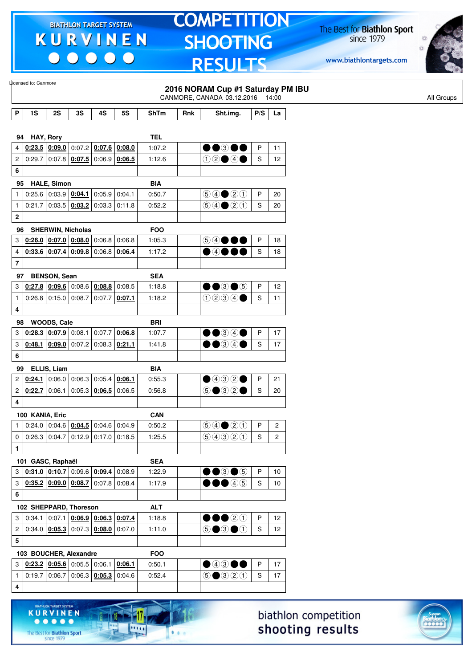$\begin{array}{c|c|c|c|c} \hline \bullet & \bullet & \bullet & \bullet & \bullet \end{array}$ 

# **TOMPETITION SHOOTING RESULTS**

The Best for **Biathlon Sport**<br>since 1979

www.biathlontargets.com



|                         | Licensed to: Canmore   |                               |    |                                                             |        |             |     | 2016 NORAM Cup #1 Saturday PM IBU<br>CANMORE, CANADA 03.12.2016 14:00              |             |                |
|-------------------------|------------------------|-------------------------------|----|-------------------------------------------------------------|--------|-------------|-----|------------------------------------------------------------------------------------|-------------|----------------|
| P                       | 1S                     | 2S                            | 3S | 4S                                                          | 5S     | <b>ShTm</b> | Rnk | Sht.img.                                                                           | P/S         | La             |
|                         |                        |                               |    |                                                             |        |             |     |                                                                                    |             |                |
| 94                      |                        | HAY, Rory                     |    |                                                             |        | <b>TEL</b>  |     |                                                                                    |             |                |
| 4                       |                        | $0.23.5$ 0.09.0               |    | $0:07.2$ 0:07.6 0:08.0                                      |        | 1:07.2      |     | $\bullet\bullet$ 300                                                               | P           | 11             |
| $\overline{c}$          | 0:29.7                 |                               |    | 0.07.8 0.07.5 0.06.9 0.06.5                                 |        | 1:12.6      |     | $02 \bullet 4 \bullet$                                                             | S           | 12             |
| 6                       |                        |                               |    |                                                             |        |             |     |                                                                                    |             |                |
| 95                      |                        | <b>HALE, Simon</b>            |    |                                                             |        | <b>BIA</b>  |     |                                                                                    |             |                |
| 1                       |                        |                               |    | 0.25.6   0.03.9   0.04.1   0.05.9                           | 0:04.1 | 0:50.7      |     | $(5)(4)$ (20)                                                                      | P           | 20             |
| $\mathbf{1}$            | 0:21.7                 |                               |    | $\vert 0.03.5 \, \vert 0.03.2 \, \vert 0.03.3 \, \vert$     | 0:11.8 | 0:52.2      |     | $\bigcirc \bigcirc \bigcirc \bigcirc \bigcirc \bigcirc \bigcirc$                   | S           | 20             |
| 2                       |                        |                               |    |                                                             |        |             |     |                                                                                    |             |                |
| 96                      |                        | <b>SHERWIN, Nicholas</b>      |    |                                                             |        | <b>FOO</b>  |     |                                                                                    |             |                |
| 3                       |                        |                               |    | $0.26.0$ $0.07.0$ $0.08.0$ 0.06.8                           | 0:06.8 | 1:05.3      |     | 5 4 ● ●●                                                                           | P           | 18             |
| 4                       |                        |                               |    | $0.33.6$ $0.07.4$ $0.09.8$ 0:06.8 0:06.4                    |        | 1:17.2      |     | $\bullet$ 4000                                                                     | S           | 18             |
| $\overline{\mathbf{7}}$ |                        |                               |    |                                                             |        |             |     |                                                                                    |             |                |
| 97                      |                        | <b>BENSON, Sean</b>           |    |                                                             |        | <b>SEA</b>  |     |                                                                                    |             |                |
| 3                       |                        | $0:27.8$ 0:09.6               |    | $0:08.6$ 0:08.8                                             | 0:08.5 | 1:18.8      |     | $\bullet\bullet$ 3 $\bullet$ 5                                                     | P           | 12             |
| $\mathbf{1}$            |                        | $0:26.8$ 0:15.0 0:08.7        |    | 0:07.7                                                      | 0:07.1 | 1:18.2      |     | 0234                                                                               | S           | 11             |
| 4                       |                        |                               |    |                                                             |        |             |     |                                                                                    |             |                |
| 98                      |                        | WOODS, Cale                   |    |                                                             |        | <b>BRI</b>  |     |                                                                                    |             |                |
| 3                       | 0:28.3                 | $\vert$ 0:07.9 $\vert$ 0:08.1 |    | 0:07.7                                                      | 0:06.8 | 1:07.7      |     | $\bullet\bullet$ 34 $\bullet$                                                      | P           | 17             |
| 3                       | 0:48.1                 |                               |    | $\vert$ 0:09.0 $\vert$ 0:07.2 $\vert$ 0:08.3 $\vert$ 0:21.1 |        | 1:41.8      |     | $\bullet\bullet$ 34 $\bullet$                                                      | S           | 17             |
| 6                       |                        |                               |    |                                                             |        |             |     |                                                                                    |             |                |
| 99                      |                        | ELLIS, Liam                   |    |                                                             |        | <b>BIA</b>  |     |                                                                                    |             |                |
| 2                       | 0:24.1                 | 0:06.0                        |    | $0:06.3$ 0:05.4                                             | 0:06.1 | 0:55.3      |     | $\bigcirc$ 432 $\bigcirc$                                                          | P           | 21             |
| 2                       | 0:22.7                 | 0:06.1                        |    | $0:05.3$ 0:06.5                                             | 0:06.5 | 0:56.8      |     | $\circledcirc$ $\circledcirc$ $\circ$                                              | S           | 20             |
| 4                       |                        |                               |    |                                                             |        |             |     |                                                                                    |             |                |
|                         | 100 KANIA, Eric        |                               |    |                                                             |        | <b>CAN</b>  |     |                                                                                    |             |                |
| $\mathbf{1}$            |                        |                               |    | $0:24.0$ 0:04.6 $0:04.5$ 0:04.6 0:04.9                      |        | 0:50.2      |     | $\bigcirc \bigcirc \bigcirc \bigcirc \bigcirc \bigcirc \bigcirc \bigcirc \bigcirc$ | P           | $\overline{c}$ |
| 0                       |                        |                               |    | $0.26.3$ 0.04.7 0.12.9 0.17.0 0.18.5                        |        | 1:25.5      |     | 9990                                                                               | S           | $\overline{c}$ |
| $\mathbf{1}$            |                        |                               |    |                                                             |        |             |     |                                                                                    |             |                |
|                         | 101 GASC, Raphaël      |                               |    |                                                             |        | <b>SEA</b>  |     |                                                                                    |             |                |
| 3                       |                        |                               |    | $0.31.0$ $0.10.7$ 0.09.6 0.09.4                             | 0:08.9 | 1:22.9      |     | $\bullet\bullet$ 3 $\bullet$ 5                                                     | P           | 10             |
| 3                       |                        |                               |    | $0.35.2$ $0.09.0$ $0.08.7$ 0.07.8 0.08.4                    |        | 1:17.9      |     | $\bullet\bullet\bullet$                                                            | $\mathsf S$ | 10             |
| 6                       |                        |                               |    |                                                             |        |             |     |                                                                                    |             |                |
|                         | 102 SHEPPARD, Thoreson |                               |    |                                                             |        | <b>ALT</b>  |     |                                                                                    |             |                |
| 3                       |                        |                               |    | $0:34.1   0:07.1   0:06.9   0:06.3   0:07.4$                |        | 1:18.8      |     | $\bullet\bullet\circ\circ$                                                         | P           | 12             |
| 2                       |                        |                               |    | $0.34.0$ $0.05.3$ $0.07.3$ $0.08.0$                         | 0:07.0 | 1:11.0      |     | $\circledcirc$ $\bullet$ $\circledcirc$                                            | $\mathsf S$ | 12             |
| 5                       |                        |                               |    |                                                             |        |             |     |                                                                                    |             |                |
|                         | 103 BOUCHER, Alexandre |                               |    |                                                             |        | <b>FOO</b>  |     |                                                                                    |             |                |
| 3                       |                        |                               |    | $0.23.2$ $0.05.6$ $0.05.5$ $0.06.1$ $0.06.1$                |        | 0:50.1      |     | $\bullet$ 4300                                                                     | P           | 17             |
| $\mathbf{1}$            |                        |                               |    | $0.19.7 0.06.7 0.06.3 \underline{0.05.3} $                  | 0:04.6 | 0:52.4      |     | $\bigcirc$ $\bigcirc$ $\bigcirc$ $\bigcirc$                                        | $\mathbf S$ | 17             |
| 4                       |                        |                               |    |                                                             |        |             |     |                                                                                    |             |                |
|                         |                        |                               |    |                                                             |        |             |     |                                                                                    |             |                |



The Best for **Biathlon Sport**<br>since 1979

**KURVINEN** 

11.

 $\overline{\mathbf{m}}$ 

 $\bullet$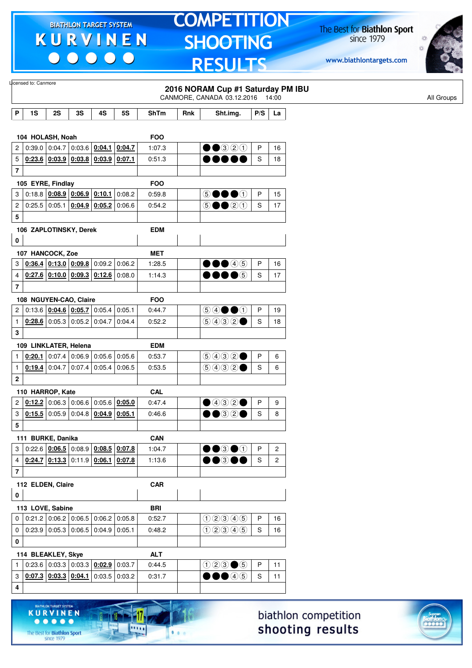$\begin{array}{c|c|c|c|c} \hline \bullet & \bullet & \bullet & \bullet & \bullet \end{array}$ 

# **TOMPETITION SHOOTING RESULTS**

The Best for **Biathlon Sport**<br>since 1979

www.biathlontargets.com



|                         | Licensed to: Canmore   |                 |                                              |                 |                 |             |     | 2016 NORAM Cup #1 Saturday PM IBU<br>CANMORE, CANADA 03.12.2016          |         | 14:00          |
|-------------------------|------------------------|-----------------|----------------------------------------------|-----------------|-----------------|-------------|-----|--------------------------------------------------------------------------|---------|----------------|
| P                       | 1S                     | 2S              | 3S                                           | 4S              | <b>5S</b>       | <b>ShTm</b> | Rnk | Sht.img.                                                                 | P/S     | La             |
|                         |                        |                 |                                              |                 |                 |             |     |                                                                          |         |                |
|                         | 104 HOLASH, Noah       |                 |                                              |                 |                 | <b>FOO</b>  |     |                                                                          |         |                |
| 2                       |                        | $0:39.0$ 0:04.7 |                                              | $0:03.6$ 0:04.1 | 0:04.7          | 1:07.3      |     | $\bullet$ $\bullet$ 320                                                  | P       | 16             |
| 5                       |                        |                 | $0.23.6$ $0.03.9$ $0.03.8$ $0.03.9$ $0.07.1$ |                 |                 | 0:51.3      |     | 8 S O 1                                                                  | S       | 18             |
| $\bf 7$                 |                        |                 |                                              |                 |                 |             |     |                                                                          |         |                |
|                         | 105 EYRE, Findlay      |                 |                                              |                 |                 | <b>FOO</b>  |     |                                                                          |         |                |
| 3                       |                        |                 | $0.18.8$ $0.08.9$ $0.06.9$ $0.10.1$          |                 | 0:08.2          | 0:59.8      |     | 50000                                                                    | P       | 15             |
| 2                       |                        | $0:25.5$ 0:05.1 | $0:04.9$ 0:05.2                              |                 | 0:06.6          | 0:54.2      |     | $\circledcirc \bullet \bullet \circledcirc \circledcirc$                 | S       | 17             |
| 5                       |                        |                 |                                              |                 |                 |             |     |                                                                          |         |                |
|                         | 106 ZAPLOTINSKY, Derek |                 |                                              |                 |                 | <b>EDM</b>  |     |                                                                          |         |                |
| 0                       |                        |                 |                                              |                 |                 |             |     |                                                                          |         |                |
|                         | 107 HANCOCK, Zoe       |                 |                                              |                 |                 | <b>MET</b>  |     |                                                                          |         |                |
| 3                       |                        |                 | $0.36.4$ 0.13.0 0.09.8                       |                 | 0.09.2   0.06.2 | 1:28.5      |     | $\bullet\bullet\textcircled{\scriptsize{4}}\textcircled{\scriptsize{5}}$ | P       | 16             |
| 4                       |                        |                 | $0:27.6$ 0:10.0 0:09.3                       |                 | $0:12.6$ 0:08.0 | 1:14.3      |     | $\bullet\bullet\bullet$ 6                                                | S       | 17             |
| $\overline{\mathbf{7}}$ |                        |                 |                                              |                 |                 |             |     |                                                                          |         |                |
|                         | 108 NGUYEN-CAO, Claire |                 |                                              |                 |                 | <b>FOO</b>  |     |                                                                          |         |                |
| $\overline{c}$          |                        |                 | $0:13.6$ 0:04.6 0:05.7                       | 0:05.4          | 0:05.1          | 0:44.7      |     | $\circledcircledast \bullet \bullet \circledast$                         | P       | 19             |
| $\mathbf{1}$            |                        |                 | $0.28.6$ 0.05.3 0.05.2                       | 0:04.7          | 0:04.4          | 0:52.2      |     | 90000                                                                    | S       | 18             |
| 3                       |                        |                 |                                              |                 |                 |             |     |                                                                          |         |                |
|                         | 109 LINKLATER, Helena  |                 |                                              |                 |                 | <b>EDM</b>  |     |                                                                          |         |                |
| $\mathbf{1}$            |                        |                 | $0.20.1$ 0.07.4 0.06.9 0.05.6 0.05.6         |                 |                 | 0:53.7      |     | 9992                                                                     | P       | 6              |
| $\mathbf{1}$            |                        | $0.19.4$ 0:04.7 | 0:07.4                                       | $0:05.4$ 0:06.5 |                 | 0:53.5      |     | (50000)                                                                  | S       | 6              |
| $\bf 2$                 |                        |                 |                                              |                 |                 |             |     |                                                                          |         |                |
|                         | 110 HARROP, Kate       |                 |                                              |                 |                 | <b>CAL</b>  |     |                                                                          |         |                |
| 2                       |                        |                 | $0.12.2$ 0:06.3 0:06.6 0:05.6 0:05.0         |                 |                 | 0:47.4      |     | $\bullet$ 432 $\bullet$                                                  | P       | 9              |
| 3                       |                        |                 | $0.15.5$ 0.05.9 0.04.8                       |                 | $0:04.9$ 0:05.1 | 0:46.6      |     | $\bullet$ $\bullet$ 3 2 $\bullet$                                        | S       | 8              |
| 5                       |                        |                 |                                              |                 |                 |             |     |                                                                          |         |                |
|                         | 111 BURKE, Danika      |                 |                                              |                 |                 | <b>CAN</b>  |     |                                                                          |         |                |
| 3                       |                        |                 | $0.22.6$ $0.06.5$ $0.08.9$ $0.08.5$ $0.07.8$ |                 |                 | 1:04.7      |     | $\bullet\bullet$ 3 $\bullet\circ$                                        | $\sf P$ | 2              |
| 4                       |                        |                 | $0.24.7$ $0.13.3$ $0.11.9$ $0.06.1$ $0.07.8$ |                 |                 | 1:13.6      |     | $\bullet\bullet$ 300                                                     | S       | $\overline{c}$ |
| $\bf 7$                 |                        |                 |                                              |                 |                 |             |     |                                                                          |         |                |
|                         | 112 ELDEN, Claire      |                 |                                              |                 |                 | <b>CAR</b>  |     |                                                                          |         |                |
| 0                       |                        |                 |                                              |                 |                 |             |     |                                                                          |         |                |
|                         | 113 LOVE, Sabine       |                 |                                              |                 |                 | <b>BRI</b>  |     |                                                                          |         |                |
| 0                       |                        |                 | $0.21.2$ 0.06.2 0.06.5 0.06.2 0.05.8         |                 |                 | 0:52.7      |     | 02345                                                                    | P       | 16             |
| $\mathbf 0$             |                        |                 | $0.23.9$ 0.05.3 0.06.5                       | $0:04.9$ 0:05.1 |                 | 0:48.2      |     | 02345                                                                    | S       | 16             |
| 0                       |                        |                 |                                              |                 |                 |             |     |                                                                          |         |                |
|                         | 114 BLEAKLEY, Skye     |                 |                                              |                 |                 | <b>ALT</b>  |     |                                                                          |         |                |
| 1                       |                        |                 | $0.23.6$ 0.03.3 0.03.3 0.02.9 0.03.7         |                 |                 | 0:44.5      |     | $023 \bullet 5$                                                          | P       | 11             |
| 3                       |                        |                 | $0.07.3$ 0.03.3 0.04.1                       |                 | $0:03.5$ 0:03.2 | 0:31.7      |     | $\bullet$ 45                                                             | S       | 11             |
| 4                       |                        |                 |                                              |                 |                 |             |     |                                                                          |         |                |
|                         |                        |                 |                                              |                 |                 |             |     |                                                                          |         |                |

biathlon competition shooting results



17.

 $\frac{1}{2}$ 

 $1.1.1$ 

KURVINEN